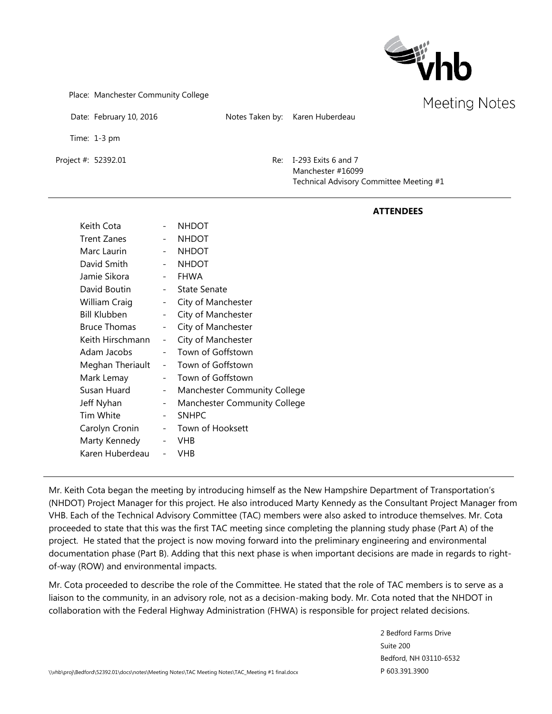

Place: Manchester Community College

Date: February 10, 2016 Notes Taken by: Karen Huberdeau

Time: 1-3 pm

Project #: 52392.01 Re: I-293 Exits 6 and 7 Manchester #16099 Technical Advisory Committee Meeting #1

|                     |                          |                              | <b>ATTENDEES</b> |
|---------------------|--------------------------|------------------------------|------------------|
| Keith Cota          | $\overline{\phantom{a}}$ | <b>NHDOT</b>                 |                  |
| Trent Zanes         | $\overline{\phantom{a}}$ | <b>NHDOT</b>                 |                  |
| Marc Laurin         | $\overline{\phantom{a}}$ | <b>NHDOT</b>                 |                  |
| David Smith         | $\overline{\phantom{a}}$ | <b>NHDOT</b>                 |                  |
| Jamie Sikora        | $\overline{\phantom{a}}$ | <b>FHWA</b>                  |                  |
| David Boutin        | $\overline{\phantom{a}}$ | <b>State Senate</b>          |                  |
| William Craig       | $\overline{\phantom{a}}$ | City of Manchester           |                  |
| <b>Bill Klubben</b> | $\overline{\phantom{a}}$ | City of Manchester           |                  |
| <b>Bruce Thomas</b> | $\overline{\phantom{a}}$ | City of Manchester           |                  |
| Keith Hirschmann    | $\overline{\phantom{a}}$ | City of Manchester           |                  |
| Adam Jacobs         |                          | Town of Goffstown            |                  |
| Meghan Theriault    | $\overline{\phantom{a}}$ | Town of Goffstown            |                  |
| Mark Lemay          | $\overline{\phantom{a}}$ | Town of Goffstown            |                  |
| Susan Huard         | $\overline{\phantom{a}}$ | Manchester Community College |                  |
| Jeff Nyhan          | $\overline{\phantom{a}}$ | Manchester Community College |                  |
| Tim White           | $\overline{\phantom{a}}$ | <b>SNHPC</b>                 |                  |
| Carolyn Cronin      | $\overline{\phantom{a}}$ | Town of Hooksett             |                  |
| Marty Kennedy       | $\overline{\phantom{a}}$ | <b>VHB</b>                   |                  |
| Karen Huberdeau     | $\overline{\phantom{a}}$ | <b>VHB</b>                   |                  |

Mr. Keith Cota began the meeting by introducing himself as the New Hampshire Department of Transportation's (NHDOT) Project Manager for this project. He also introduced Marty Kennedy as the Consultant Project Manager from VHB. Each of the Technical Advisory Committee (TAC) members were also asked to introduce themselves. Mr. Cota proceeded to state that this was the first TAC meeting since completing the planning study phase (Part A) of the project. He stated that the project is now moving forward into the preliminary engineering and environmental documentation phase (Part B). Adding that this next phase is when important decisions are made in regards to rightof-way (ROW) and environmental impacts.

Mr. Cota proceeded to describe the role of the Committee. He stated that the role of TAC members is to serve as a liaison to the community, in an advisory role, not as a decision-making body. Mr. Cota noted that the NHDOT in collaboration with the Federal Highway Administration (FHWA) is responsible for project related decisions.

> 2 Bedford Farms Drive Suite 200 Bedford, NH 03110-6532 P 603.391.3900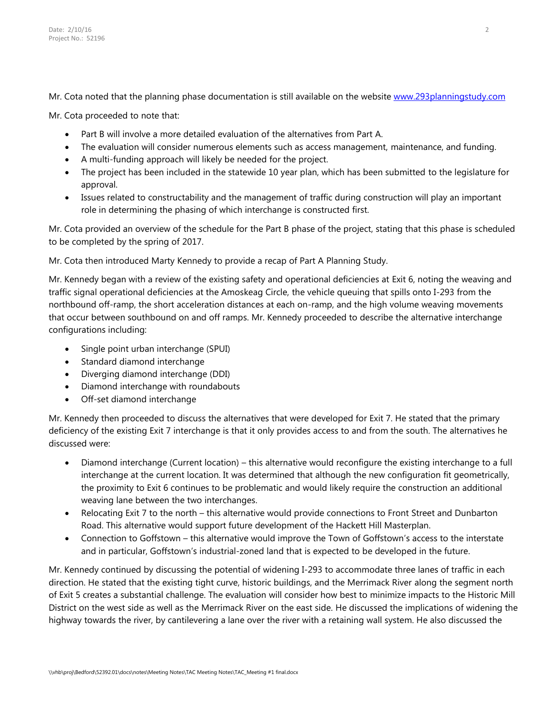Mr. Cota noted that the planning phase documentation is still available on the website [www.293planningstudy.com](http://www.293planningstudy.com/)

Mr. Cota proceeded to note that:

- Part B will involve a more detailed evaluation of the alternatives from Part A.
- The evaluation will consider numerous elements such as access management, maintenance, and funding.
- A multi-funding approach will likely be needed for the project.
- The project has been included in the statewide 10 year plan, which has been submitted to the legislature for approval.
- Issues related to constructability and the management of traffic during construction will play an important role in determining the phasing of which interchange is constructed first.

Mr. Cota provided an overview of the schedule for the Part B phase of the project, stating that this phase is scheduled to be completed by the spring of 2017.

Mr. Cota then introduced Marty Kennedy to provide a recap of Part A Planning Study.

Mr. Kennedy began with a review of the existing safety and operational deficiencies at Exit 6, noting the weaving and traffic signal operational deficiencies at the Amoskeag Circle, the vehicle queuing that spills onto I-293 from the northbound off-ramp, the short acceleration distances at each on-ramp, and the high volume weaving movements that occur between southbound on and off ramps. Mr. Kennedy proceeded to describe the alternative interchange configurations including:

- Single point urban interchange (SPUI)
- Standard diamond interchange
- Diverging diamond interchange (DDI)
- Diamond interchange with roundabouts
- Off-set diamond interchange

Mr. Kennedy then proceeded to discuss the alternatives that were developed for Exit 7. He stated that the primary deficiency of the existing Exit 7 interchange is that it only provides access to and from the south. The alternatives he discussed were:

- Diamond interchange (Current location) this alternative would reconfigure the existing interchange to a full interchange at the current location. It was determined that although the new configuration fit geometrically, the proximity to Exit 6 continues to be problematic and would likely require the construction an additional weaving lane between the two interchanges.
- Relocating Exit 7 to the north this alternative would provide connections to Front Street and Dunbarton Road. This alternative would support future development of the Hackett Hill Masterplan.
- Connection to Goffstown this alternative would improve the Town of Goffstown's access to the interstate and in particular, Goffstown's industrial-zoned land that is expected to be developed in the future.

Mr. Kennedy continued by discussing the potential of widening I-293 to accommodate three lanes of traffic in each direction. He stated that the existing tight curve, historic buildings, and the Merrimack River along the segment north of Exit 5 creates a substantial challenge. The evaluation will consider how best to minimize impacts to the Historic Mill District on the west side as well as the Merrimack River on the east side. He discussed the implications of widening the highway towards the river, by cantilevering a lane over the river with a retaining wall system. He also discussed the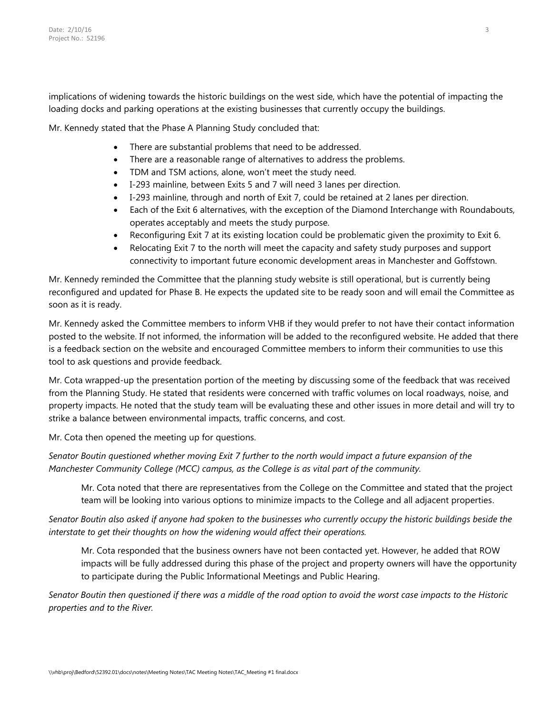implications of widening towards the historic buildings on the west side, which have the potential of impacting the loading docks and parking operations at the existing businesses that currently occupy the buildings.

Mr. Kennedy stated that the Phase A Planning Study concluded that:

- There are substantial problems that need to be addressed.
- There are a reasonable range of alternatives to address the problems.
- TDM and TSM actions, alone, won't meet the study need.
- I-293 mainline, between Exits 5 and 7 will need 3 lanes per direction.
- I-293 mainline, through and north of Exit 7, could be retained at 2 lanes per direction.
- Each of the Exit 6 alternatives, with the exception of the Diamond Interchange with Roundabouts, operates acceptably and meets the study purpose.
- Reconfiguring Exit 7 at its existing location could be problematic given the proximity to Exit 6.
- Relocating Exit 7 to the north will meet the capacity and safety study purposes and support connectivity to important future economic development areas in Manchester and Goffstown.

Mr. Kennedy reminded the Committee that the planning study website is still operational, but is currently being reconfigured and updated for Phase B. He expects the updated site to be ready soon and will email the Committee as soon as it is ready.

Mr. Kennedy asked the Committee members to inform VHB if they would prefer to not have their contact information posted to the website. If not informed, the information will be added to the reconfigured website. He added that there is a feedback section on the website and encouraged Committee members to inform their communities to use this tool to ask questions and provide feedback.

Mr. Cota wrapped-up the presentation portion of the meeting by discussing some of the feedback that was received from the Planning Study. He stated that residents were concerned with traffic volumes on local roadways, noise, and property impacts. He noted that the study team will be evaluating these and other issues in more detail and will try to strike a balance between environmental impacts, traffic concerns, and cost.

Mr. Cota then opened the meeting up for questions.

*Senator Boutin questioned whether moving Exit 7 further to the north would impact a future expansion of the Manchester Community College (MCC) campus, as the College is as vital part of the community.*

Mr. Cota noted that there are representatives from the College on the Committee and stated that the project team will be looking into various options to minimize impacts to the College and all adjacent properties.

*Senator Boutin also asked if anyone had spoken to the businesses who currently occupy the historic buildings beside the interstate to get their thoughts on how the widening would affect their operations.*

Mr. Cota responded that the business owners have not been contacted yet. However, he added that ROW impacts will be fully addressed during this phase of the project and property owners will have the opportunity to participate during the Public Informational Meetings and Public Hearing.

*Senator Boutin then questioned if there was a middle of the road option to avoid the worst case impacts to the Historic properties and to the River.*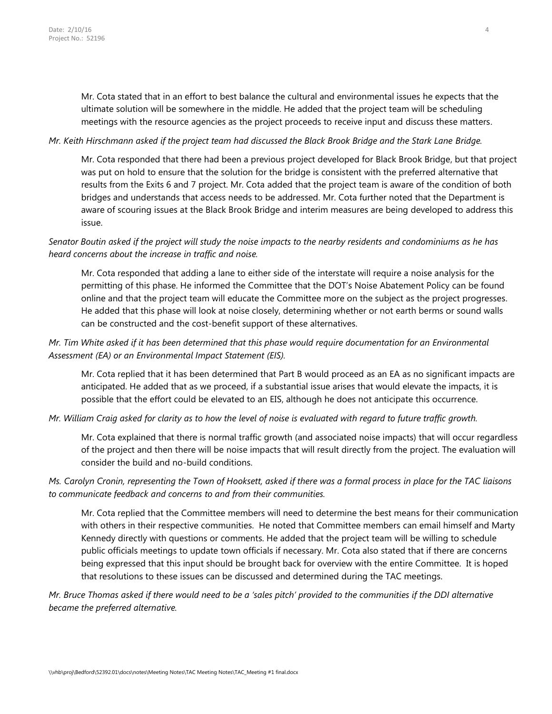Mr. Cota stated that in an effort to best balance the cultural and environmental issues he expects that the ultimate solution will be somewhere in the middle. He added that the project team will be scheduling meetings with the resource agencies as the project proceeds to receive input and discuss these matters.

#### *Mr. Keith Hirschmann asked if the project team had discussed the Black Brook Bridge and the Stark Lane Bridge.*

Mr. Cota responded that there had been a previous project developed for Black Brook Bridge, but that project was put on hold to ensure that the solution for the bridge is consistent with the preferred alternative that results from the Exits 6 and 7 project. Mr. Cota added that the project team is aware of the condition of both bridges and understands that access needs to be addressed. Mr. Cota further noted that the Department is aware of scouring issues at the Black Brook Bridge and interim measures are being developed to address this issue.

### *Senator Boutin asked if the project will study the noise impacts to the nearby residents and condominiums as he has heard concerns about the increase in traffic and noise.*

Mr. Cota responded that adding a lane to either side of the interstate will require a noise analysis for the permitting of this phase. He informed the Committee that the DOT's Noise Abatement Policy can be found online and that the project team will educate the Committee more on the subject as the project progresses. He added that this phase will look at noise closely, determining whether or not earth berms or sound walls can be constructed and the cost-benefit support of these alternatives.

# *Mr. Tim White asked if it has been determined that this phase would require documentation for an Environmental Assessment (EA) or an Environmental Impact Statement (EIS).*

Mr. Cota replied that it has been determined that Part B would proceed as an EA as no significant impacts are anticipated. He added that as we proceed, if a substantial issue arises that would elevate the impacts, it is possible that the effort could be elevated to an EIS, although he does not anticipate this occurrence.

### *Mr. William Craig asked for clarity as to how the level of noise is evaluated with regard to future traffic growth.*

Mr. Cota explained that there is normal traffic growth (and associated noise impacts) that will occur regardless of the project and then there will be noise impacts that will result directly from the project. The evaluation will consider the build and no-build conditions.

# *Ms. Carolyn Cronin, representing the Town of Hooksett, asked if there was a formal process in place for the TAC liaisons to communicate feedback and concerns to and from their communities.*

Mr. Cota replied that the Committee members will need to determine the best means for their communication with others in their respective communities. He noted that Committee members can email himself and Marty Kennedy directly with questions or comments. He added that the project team will be willing to schedule public officials meetings to update town officials if necessary. Mr. Cota also stated that if there are concerns being expressed that this input should be brought back for overview with the entire Committee. It is hoped that resolutions to these issues can be discussed and determined during the TAC meetings.

*Mr. Bruce Thomas asked if there would need to be a 'sales pitch' provided to the communities if the DDI alternative became the preferred alternative.*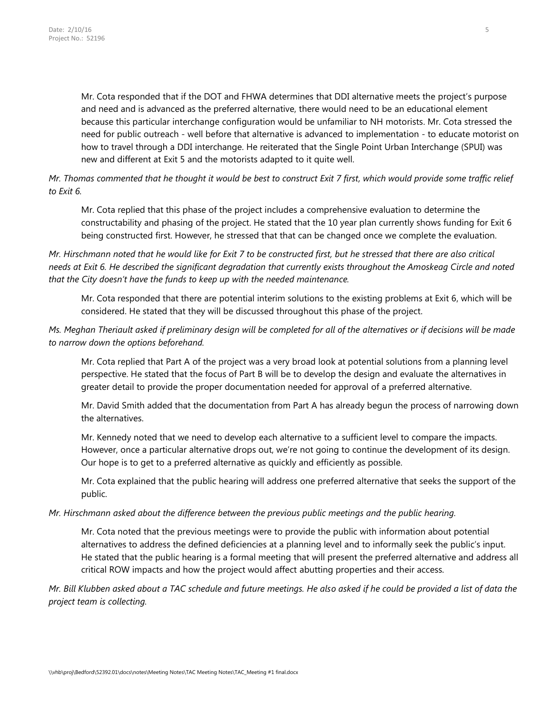Mr. Cota responded that if the DOT and FHWA determines that DDI alternative meets the project's purpose and need and is advanced as the preferred alternative, there would need to be an educational element because this particular interchange configuration would be unfamiliar to NH motorists. Mr. Cota stressed the need for public outreach - well before that alternative is advanced to implementation - to educate motorist on how to travel through a DDI interchange. He reiterated that the Single Point Urban Interchange (SPUI) was new and different at Exit 5 and the motorists adapted to it quite well.

*Mr. Thomas commented that he thought it would be best to construct Exit 7 first, which would provide some traffic relief to Exit 6.* 

Mr. Cota replied that this phase of the project includes a comprehensive evaluation to determine the constructability and phasing of the project. He stated that the 10 year plan currently shows funding for Exit 6 being constructed first. However, he stressed that that can be changed once we complete the evaluation.

*Mr. Hirschmann noted that he would like for Exit 7 to be constructed first, but he stressed that there are also critical needs at Exit 6. He described the significant degradation that currently exists throughout the Amoskeag Circle and noted that the City doesn't have the funds to keep up with the needed maintenance.* 

Mr. Cota responded that there are potential interim solutions to the existing problems at Exit 6, which will be considered. He stated that they will be discussed throughout this phase of the project.

# *Ms. Meghan Theriault asked if preliminary design will be completed for all of the alternatives or if decisions will be made to narrow down the options beforehand.*

Mr. Cota replied that Part A of the project was a very broad look at potential solutions from a planning level perspective. He stated that the focus of Part B will be to develop the design and evaluate the alternatives in greater detail to provide the proper documentation needed for approval of a preferred alternative.

Mr. David Smith added that the documentation from Part A has already begun the process of narrowing down the alternatives.

Mr. Kennedy noted that we need to develop each alternative to a sufficient level to compare the impacts. However, once a particular alternative drops out, we're not going to continue the development of its design. Our hope is to get to a preferred alternative as quickly and efficiently as possible.

Mr. Cota explained that the public hearing will address one preferred alternative that seeks the support of the public.

### *Mr. Hirschmann asked about the difference between the previous public meetings and the public hearing.*

Mr. Cota noted that the previous meetings were to provide the public with information about potential alternatives to address the defined deficiencies at a planning level and to informally seek the public's input. He stated that the public hearing is a formal meeting that will present the preferred alternative and address all critical ROW impacts and how the project would affect abutting properties and their access.

*Mr. Bill Klubben asked about a TAC schedule and future meetings. He also asked if he could be provided a list of data the project team is collecting.*